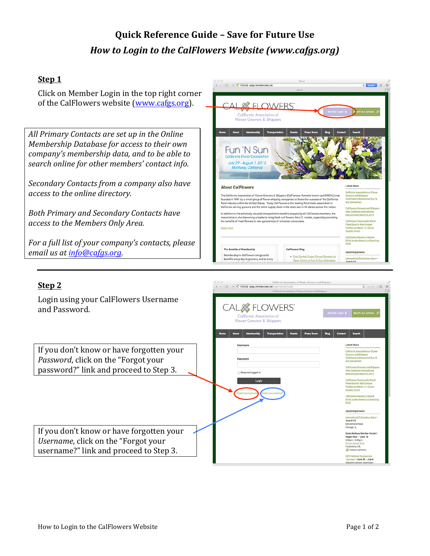# **Quick Reference Guide – Save for Future Use** *How to Login to the CalFlowers Website (www.cafgs.org)*

## **Step 1**

Click on Member Login in the top right corner of the CalFlowers website (www.cafgs.org).

*All Primary Contacts are set up in the Online Membership Database for access to their own company's* membership data, and to be able to *search online for other members' contact info.*

*Secondary Contacts from a company also have access to the online directory.*

**Both Primary and Secondary Contacts have** *access to the Members Only Area.*

For a full list of your company's contacts, please *email us at info@cafgs.org.* 



California Association of Flower Grov

## **Step 2**

Login using your CalFlowers Username and Password.

If you don't know or have forgotten your *Password*, click on the "Forgot your

If you don't know or have forgotten your *Username*, click on the "Forgot your username?" link and proceed to Step 3.



 $\boxed{4}$  >  $\boxed{2}$  +  $\boxed{C}$  https & cafgs.memberclicks.net/log

 $c$  Reader  $(\overline{m})(0)$